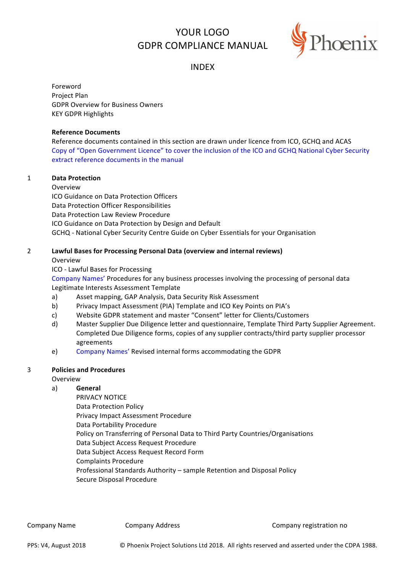# YOUR LOGO GDPR COMPLIANCE MANUAL



# INDEX

Foreword Project Plan GDPR Overview for Business Owners **KEY GDPR Highlights** 

#### **Reference Documents**

Reference documents contained in this section are drawn under licence from ICO, GCHQ and ACAS Copy of "Open Government Licence" to cover the inclusion of the ICO and GCHQ National Cyber Security extract reference documents in the manual

# 1 **Data Protection**

Overview

ICO Guidance on Data Protection Officers Data Protection Officer Responsibilities Data Protection Law Review Procedure ICO Guidance on Data Protection by Design and Default GCHQ - National Cyber Security Centre Guide on Cyber Essentials for your Organisation

# 2 Lawful Bases for Processing Personal Data (overview and internal reviews)

Overview

ICO - Lawful Bases for Processing

Company Names' Procedures for any business processes involving the processing of personal data Legitimate Interests Assessment Template

- a) Asset mapping, GAP Analysis, Data Security Risk Assessment
- b) Privacy Impact Assessment (PIA) Template and ICO Key Points on PIA's
- c) Website GDPR statement and master "Consent" letter for Clients/Customers
- d) Master Supplier Due Diligence letter and questionnaire, Template Third Party Supplier Agreement. Completed Due Diligence forms, copies of any supplier contracts/third party supplier processor agreements
- e) Company Names' Revised internal forms accommodating the GDPR

#### 3 **Policies and Procedures**

#### Overview

# a) **General**

PRIVACY NOTICE Data Protection Policy Privacy Impact Assessment Procedure Data Portability Procedure Policy on Transferring of Personal Data to Third Party Countries/Organisations Data Subject Access Request Procedure Data Subject Access Request Record Form Complaints Procedure Professional Standards Authority – sample Retention and Disposal Policy Secure Disposal Procedure

Company Name Company Address Company Company Company registration no